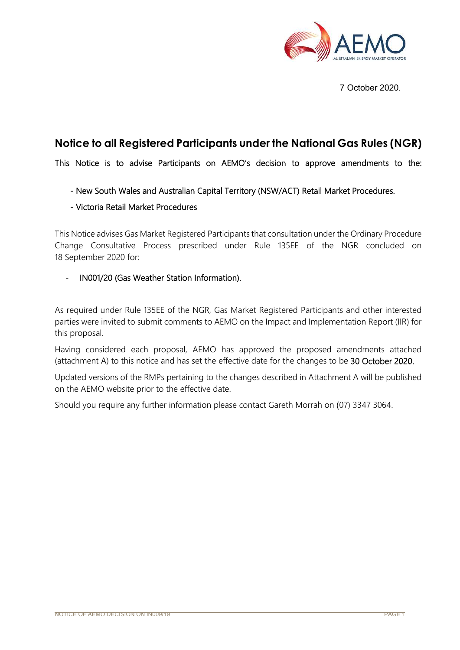

7 October 2020.

# **Notice to all Registered Participants under the National Gas Rules (NGR)**

This Notice is to advise Participants on AEMO's decision to approve amendments to the:

## - New South Wales and Australian Capital Territory (NSW/ACT) Retail Market Procedures.

## - Victoria Retail Market Procedures

This Notice advises Gas Market Registered Participants that consultation under the Ordinary Procedure Change Consultative Process prescribed under Rule 135EE of the NGR concluded on 18 September 2020 for:

## - IN001/20 (Gas Weather Station Information).

As required under Rule 135EE of the NGR, Gas Market Registered Participants and other interested parties were invited to submit comments to AEMO on the Impact and Implementation Report (IIR) for this proposal.

Having considered each proposal, AEMO has approved the proposed amendments attached (attachment A) to this notice and has set the effective date for the changes to be 30 October 2020.

Updated versions of the RMPs pertaining to the changes described in Attachment A will be published on the AEMO website prior to the effective date.

Should you require any further information please contact Gareth Morrah on (07) 3347 3064.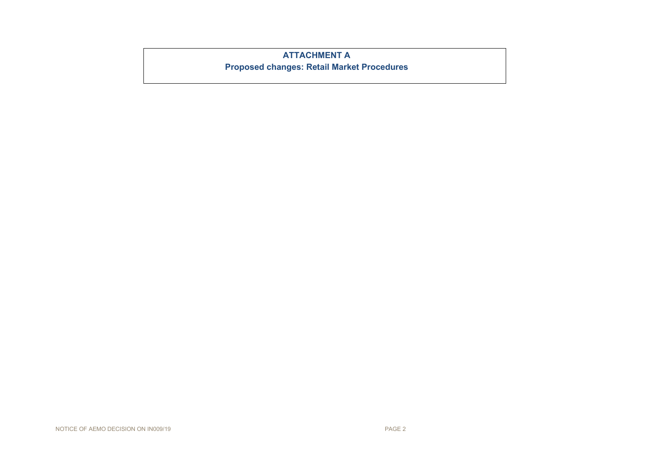## **ATTACHMENT A**

**Proposed changes: Retail Market Procedures**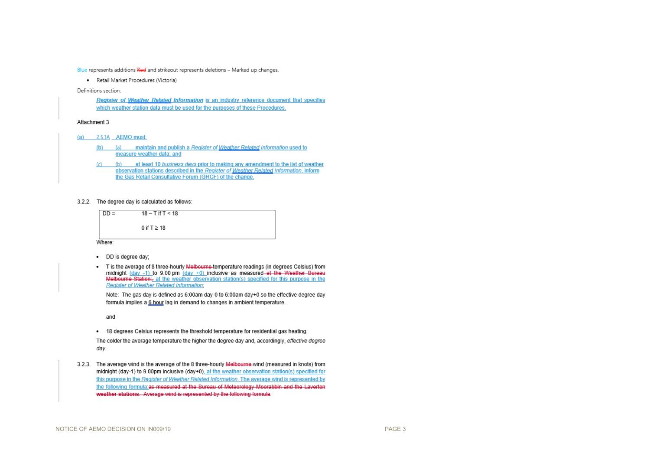Blue represents additions Red and strikeout represents deletions - Marked up changes.

· Retail Market Procedures (Victoria)

Definitions section:

Register of Weather Related Information is an industry reference document that specifies which weather station data must be used for the purposes of these Procedures.

### Attachment 3

- (a)  $2.5.1A$  AEMO must:
	- (b) (a) maintain and publish a Register of Weather Related Information used to measure weather data: and
	- (c) (b) at least 10 business days prior to making any amendment to the list of weather observation stations described in the Register of Weather Related Information, inform the Gas Retail Consultative Forum (GRCF) of the change.
- 3.2.2. The degree day is calculated as follows:



- DD is degree day:
- . T is the average of 8 three-hourly Melbourne-temperature readings (in degrees Celsius) from midnight  $(\text{day -1})$  to 9.00 pm  $(\text{day +0})$  inclusive as measured at the Weather Bureau Melbourne Station:, at the weather observation station(s) specified for this purpose in the **Register of Weather Related Information:**

Note: The gas day is defined as 6:00am day-0 to 6:00am day+0 so the effective degree day formula implies a 6 hour lag in demand to changes in ambient temperature.

and

. 18 degrees Celsius represents the threshold temperature for residential gas heating.

The colder the average temperature the higher the degree day and, accordingly, effective degree day.

3.2.3. The average wind is the average of the 8 three-hourly Melbourne-wind (measured in knots) from midnight (day-1) to 9.00pm inclusive (day+0), at the weather observation station(s) specified for this purpose in the Register of Weather Related Information. The average wind is represented by the following formula:as measured at the Bureau of Meteorology Moorabbin and the Laverton weather stations. Average wind is represented by the following formula: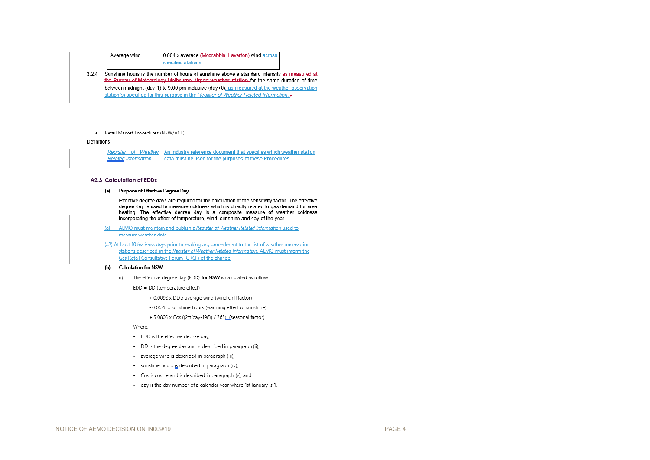0.604 x average (Moorabbin, Laverton) wind across Average wind  $=$ specified stations

- 3.2.4 Sunshine hours is the number of hours of sunshine above a standard intensity as measured at the Bureau of Meteorology Melbourne Airport weather station for the same duration of time between midnight (day-1) to 9.00 pm inclusive (day+0), as measured at the weather observation station(s) specified for this purpose in the Register of Weather Related Information.
	- · Retail Market Procedures (NSW/ACT)

#### Definitions

Register of Weather. An industry reference document that specifies which weather station **Related Information** data must be used for the purposes of these Procedures.

#### **A2.3 Calculation of EDDs**

#### (a) Purpose of Effective Degree Day

Effective degree days are required for the calculation of the sensitivity factor. The effective degree day is used to measure coldness which is directly related to gas demand for area heating. The effective degree day is a composite measure of weather coldness incorporating the effect of temperature, wind, sunshine and day of the year.

(a1) AEMO must maintain and publish a Register of Weather Related Information used to measure weather data.

(a2) At least 10 business days prior to making any amendment to the list of weather observation stations described in the Register of Weather Related Information, AEMO must inform the Gas Retail Consultative Forum (GRCF) of the change.

#### **Calculation for NSW** ሔነ

- (i) The effective degree day (EDD) for NSW is calculated as follows:
	- EDD = DD (temperature effect)
		- + 0.0092 x DD x average wind (wind chill factor)
		- 0.0628 x sunshine hours (warming effect of sunshine)
		- + 5.0805 x Cos ((2π(day-198)) / 365) (seasonal factor)

#### Where:

- · EDD is the effective degree day;
- · DD is the degree day and is described in paragraph (ii);
- · average wind is described in paragraph (iii);
- · sunshine hours is described in paragraph (iv);
- · Cos is cosine and is described in paragraph (v); and.
- . day is the day number of a calendar year where 1st January is 1.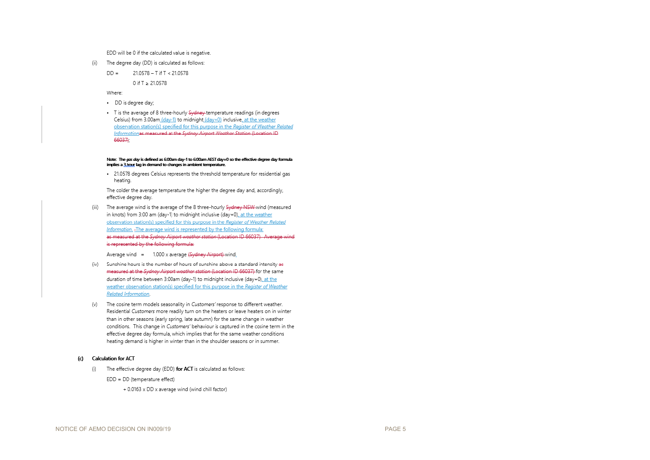EDD will be 0 if the calculated value is negative.

- $(ii)$ The degree day (DD) is calculated as follows:
	- $DD =$ 21.0578 - T if T < 21.0578

0 if T ≥ 21.0578

Where:

- · DD is degree day;
- · T is the average of 8 three-hourly Sydney temperature readings (in degrees Celsius) from 3.00am (day-1) to midnight (day+0) inclusive, at the weather observation station(s) specified for this purpose in the Register of Weather Related Informationas measured at the Sydney Airport Weather Station (Location ID 66037);

#### Note: The gas day is defined as 6:00am day-1 to 6:00am AEST day+0 so the effective degree day formula implies a 3 hour lag in demand to changes in ambient temperature.

. 21.0578 degrees Celsius represents the threshold temperature for residential gas heating.

The colder the average temperature the higher the degree day and, accordingly, effective degree day.

(iii) The average wind is the average of the 8 three-hourly Sydney NSW-wind (measured in knots) from 3:00 am (day-1) to midnight inclusive (day+0), at the weather observation station(s) specified for this purpose in the Register of Weather Related Information. The average wind is represented by the following formula: as measured at the Sydney Airport weather station (Location ID 66037). Average wind is represented by the following formula:

Average wind = 1.000 x average (Sydney Airport) wind.

- (iv) Sunshine hours is the number of hours of sunshine above a standard intensity as measured at the Sydney Airport weather station (Location ID 66037) for the same duration of time between 3:00am (day-1) to midnight inclusive (day+0), at the weather observation station(s) specified for this purpose in the Register of Weather Related Information.
- $(v)$ The cosine term models seasonality in Customers' response to different weather. Residential Customers more readily turn on the heaters or leave heaters on in winter than in other seasons (early spring, late autumn) for the same change in weather conditions. This change in Customers' behaviour is captured in the cosine term in the effective degree day formula, which implies that for the same weather conditions heating demand is higher in winter than in the shoulder seasons or in summer.

#### (c) Calculation for ACT

(i) The effective degree day (EDD) for ACT is calculated as follows:

EDD = DD (temperature effect)

+ 0.0163 x DD x average wind (wind chill factor)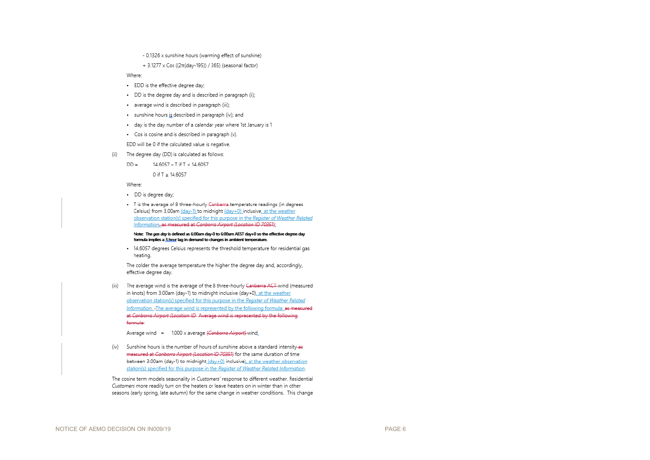- 0.1326 x sunshine hours (warming effect of sunshine)
- + 3.1277 x Cos ((2π(day-195)) / 365) (seasonal factor)

#### Where:

- · EDD is the effective degree day;
- . DD is the degree day and is described in paragraph (ii);
- · average wind is described in paragraph (iii);
- · sunshine hours is described in paragraph (iv); and
- . day is the day number of a calendar year where 1st January is 1
- · Cos is cosine and is described in paragraph (v).

EDD will be 0 if the calculated value is negative.

- The degree day (DD) is calculated as follows:  $(ii)$ 
	- $DD =$ 14.6057 - T if T < 14.6057

0 if T ≥ 14.6057

Where:

- · DD is degree day;
- · T is the average of 8 three-hourly Canberra temperature readings (in degrees Celsius) from 3.00am (day-1) to midnight (day+0) inclusive at the weather observation station(s) specified for this purpose in the Register of Weather Related Information, as measured at Canberra Airport (Location ID 70351);

Note: The ags day is defined as 6:00am day-0 to 6:00am AEST day+0 so the effective degree day formula implies a 3 hour lag in demand to changes in ambient temperature.

. 14.6057 degrees Celsius represents the threshold temperature for residential gas heating.

The colder the average temperature the higher the degree day and, accordingly, effective degree day.

(iii) The average wind is the average of the 8 three-hourly Canberra ACT-wind (measured in knots) from 3:00am (day-1) to midnight inclusive (day+0), at the weather observation station(s) specified for this purpose in the Register of Weather Related Information. -The average wind is represented by the following formula: as measured at Canberra Airport (Location ID-Average wind is represented by the following formula:

Average wind = 1.000 x average (Canberra Airport)-wind.

(iv) Sunshine hours is the number of hours of sunshine above a standard intensity-as measured at Canberra Airport (Location ID 70351) for the same duration of time between 3:00am (day-1) to midnight (day+0) inclusive), at the weather observation station(s) specified for this purpose in the Register of Weather Related Information.

The cosine term models seasonality in Customers' response to different weather. Residential Customers more readily turn on the heaters or leave heaters on in winter than in other seasons (early spring, late autumn) for the same change in weather conditions. This change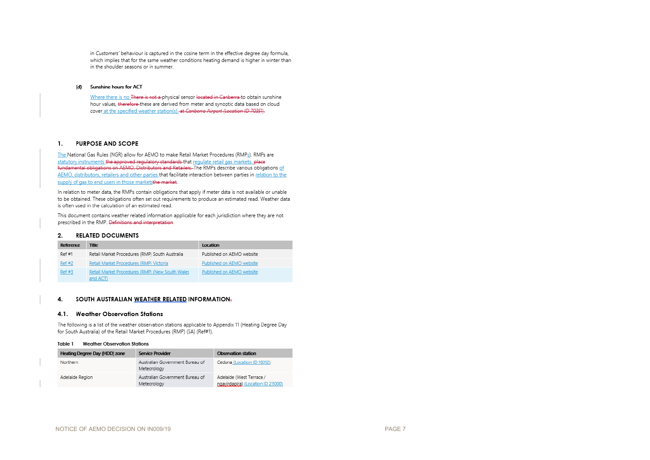in Customers' behaviour is captured in the cosine term in the effective degree day formula, which implies that for the same weather conditions heating demand is higher in winter than in the shoulder seasons or in summer.

### (d) Sunshine hours for ACT

Where there is no There is not a physical sensor located in Canberra to obtain sunshine hour values, therefore-these are derived from meter and synoptic data based on cloud cover at the specified weather station(s). at Canberra Airport (Location ID 70351).

#### **PURPOSE AND SCOPE**  $\mathbf{1}$ .

The National Gas Rules (NGR) allow for AEMO to make Retail Market Procedures (RMPs). RMPs are statutory instruments the approved regulatory standards that regulate retail gas markets, place fundamental obligations on AEMO, Distributors and Retailers. The RMPs describe various obligations of AEMO, distributors, retailers and other parties that facilitate interaction between parties in relation to the supply of gas to end users in those marketsthe market.

In relation to meter data, the RMPs contain obligations that apply if meter data is not available or unable to be obtained. These obligations often set out requirements to produce an estimated read. Weather data is often used in the calculation of an estimated read.

This document contains weather related information applicable for each jurisdiction where they are not prescribed in the RMP. Definitions and interpretation

#### **RELATED DOCUMENTS**  $2.$

| Reference | Title                                                      | Location                  |
|-----------|------------------------------------------------------------|---------------------------|
| Ref #1    | Retail Market Procedures (RMP) South Australia             | Published on AEMO website |
| Ref #2    | Retail Market Procedures (RMP) Victoria                    | Published on AEMO website |
| Ref#3     | Retail Market Procedures (RMP) (New South Wales<br>and ACT | Published on AEMO website |

#### 4. SOUTH AUSTRALIAN WEATHER RELATED INFORMATION.

#### 4.1. Weather Observation Stations

The following is a list of the weather observation stations applicable to Appendix 11 (Heating Degree Day for South Australia) of the Retail Market Procedures (RMP) (SA) (Ref#1).

#### Table 1 **Weather Observation Stations**

| Heating Degree Day (HDD) zone | Service Provider                               | Observation station                                           |
|-------------------------------|------------------------------------------------|---------------------------------------------------------------|
| Northern                      | Australian Government Bureau of<br>Meteorology | Ceduna (Location ID 18012)                                    |
| Adelaide Region               | Australian Government Bureau of<br>Meteorology | Adelaide (West Terrace /<br>ngavirdanira) (Location ID 23000) |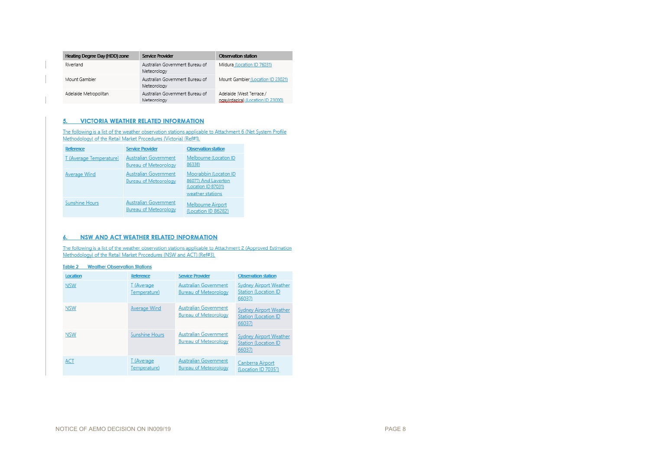| Heating Degree Day (HDD) zone | <b>Service Provider</b>                        | Observation station                                           |
|-------------------------------|------------------------------------------------|---------------------------------------------------------------|
| Riverland                     | Australian Government Bureau of<br>Meteorology | Mildura (Location ID 76031)                                   |
| Mount Gambier                 | Australian Government Bureau of<br>Meteorology | Mount Gambier (Location ID 23021)                             |
| Adelaide Metropolitan         | Australian Government Bureau of<br>Meteorology | Adelaide (West Terrace /<br>ngavirdanira) (Location ID 23000) |

### 5. VICTORIA WEATHER RELATED INFORMATION

The following is a list of the weather observation stations applicable to Attachment 6 (Net System Profile Methodology) of the Retail Market Procedures (Victoria) (Ref#1).

| <b>Reference</b>        | <b>Service Provider</b>                                      | <b>Observation station</b>                                                               |
|-------------------------|--------------------------------------------------------------|------------------------------------------------------------------------------------------|
| T (Average Temperature) | <b>Australian Government</b><br><b>Bureau of Meteorology</b> | Melbourne (Location ID<br>86338)                                                         |
| <b>Average Wind</b>     | <b>Australian Government</b><br><b>Bureau of Meteorology</b> | Moorabbin (Location ID<br>86077) And Laverton<br>(Location ID 87031)<br>weather stations |
| <b>Sunshine Hours</b>   | <b>Australian Government</b><br><b>Bureau of Meteorology</b> | <b>Melbourne Airport</b><br>(Location ID 86282)                                          |

### 6. NSW AND ACT WEATHER RELATED INFORMATION

The following is a list of the weather observation stations applicable to Attachment 2 (Approved Estimation Methodology) of the Retail Market Procedures (NSW and ACT) (Ref#3).

## **Table 2 Weather Observation Stations**

| Location   | <b>Reference</b>           | <b>Service Provider</b>                                      | <b>Observation station</b>                                              |
|------------|----------------------------|--------------------------------------------------------------|-------------------------------------------------------------------------|
| <b>NSW</b> | T (Average<br>Temperature) | <b>Australian Government</b><br><b>Bureau of Meteorology</b> | <b>Sydney Airport Weather</b><br><b>Station (Location ID</b><br>66037)  |
| <b>NSW</b> | <b>Average Wind</b>        | <b>Australian Government</b><br><b>Bureau of Meteorology</b> | <b>Sydney Airport Weather</b><br><b>Station (Location ID)</b><br>66037) |
| <b>NSW</b> | <b>Sunshine Hours</b>      | <b>Australian Government</b><br><b>Bureau of Meteorology</b> | <b>Sydney Airport Weather</b><br><b>Station (Location ID)</b><br>66037) |
| <b>ACT</b> | T (Average<br>Temperature) | <b>Australian Government</b><br><b>Bureau of Meteorology</b> | Canberra Airport<br>(Location ID 70351)                                 |